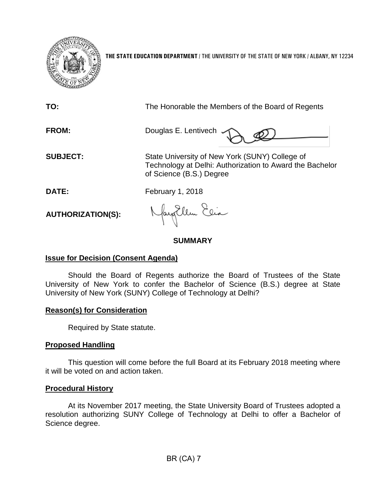

**THE STATE EDUCATION DEPARTMENT** / THE UNIVERSITY OF THE STATE OF NEW YORK / ALBANY, NY 12234

| TO:                      | The Honorable the Members of the Board of Regents                                                                                      |
|--------------------------|----------------------------------------------------------------------------------------------------------------------------------------|
| <b>FROM:</b>             | Douglas E. Lentivech $\sim$                                                                                                            |
| <b>SUBJECT:</b>          | State University of New York (SUNY) College of<br>Technology at Delhi: Authorization to Award the Bachelor<br>of Science (B.S.) Degree |
| DATE:                    | <b>February 1, 2018</b>                                                                                                                |
| <b>AUTHORIZATION(S):</b> | Nayollem Elia                                                                                                                          |

# **SUMMARY**

# **Issue for Decision (Consent Agenda)**

Should the Board of Regents authorize the Board of Trustees of the State University of New York to confer the Bachelor of Science (B.S.) degree at State University of New York (SUNY) College of Technology at Delhi?

# **Reason(s) for Consideration**

Required by State statute.

# **Proposed Handling**

This question will come before the full Board at its February 2018 meeting where it will be voted on and action taken.

# **Procedural History**

At its November 2017 meeting, the State University Board of Trustees adopted a resolution authorizing SUNY College of Technology at Delhi to offer a Bachelor of Science degree.